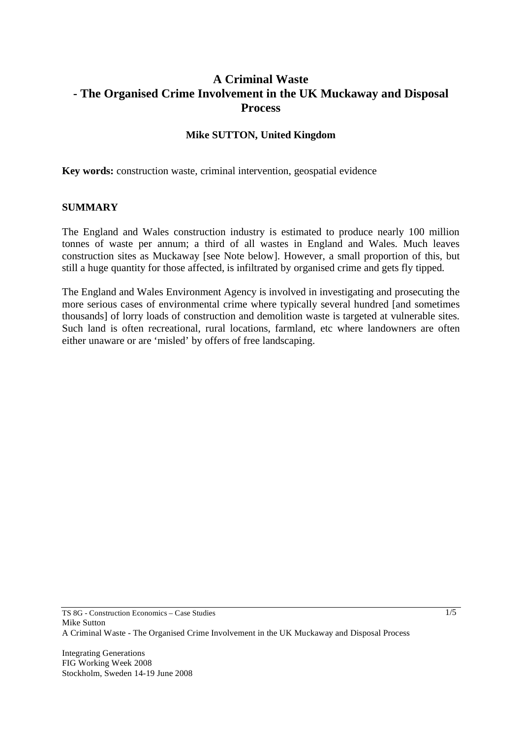# **A Criminal Waste - The Organised Crime Involvement in the UK Muckaway and Disposal Process**

# **Mike SUTTON, United Kingdom**

**Key words:** construction waste, criminal intervention, geospatial evidence

### **SUMMARY**

The England and Wales construction industry is estimated to produce nearly 100 million tonnes of waste per annum; a third of all wastes in England and Wales. Much leaves construction sites as Muckaway [see Note below]. However, a small proportion of this, but still a huge quantity for those affected, is infiltrated by organised crime and gets fly tipped.

The England and Wales Environment Agency is involved in investigating and prosecuting the more serious cases of environmental crime where typically several hundred [and sometimes thousands] of lorry loads of construction and demolition waste is targeted at vulnerable sites. Such land is often recreational, rural locations, farmland, etc where landowners are often either unaware or are 'misled' by offers of free landscaping.

Integrating Generations FIG Working Week 2008 Stockholm, Sweden 14-19 June 2008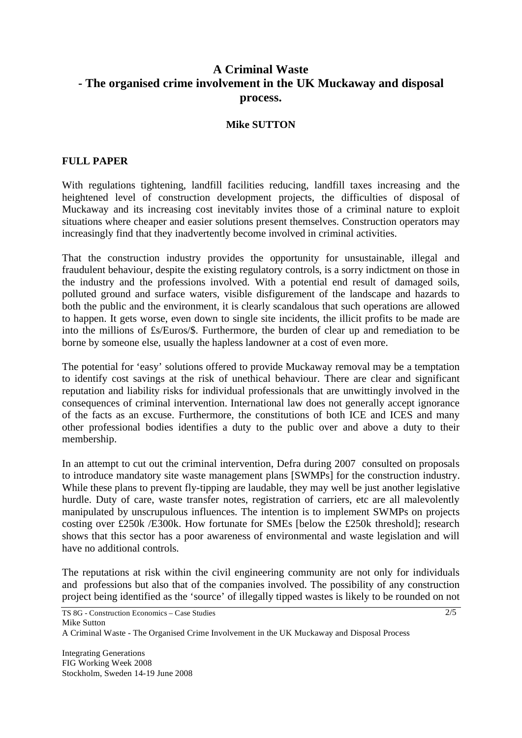# **A Criminal Waste - The organised crime involvement in the UK Muckaway and disposal process.**

### **Mike SUTTON**

# **FULL PAPER**

With regulations tightening, landfill facilities reducing, landfill taxes increasing and the heightened level of construction development projects, the difficulties of disposal of Muckaway and its increasing cost inevitably invites those of a criminal nature to exploit situations where cheaper and easier solutions present themselves. Construction operators may increasingly find that they inadvertently become involved in criminal activities.

That the construction industry provides the opportunity for unsustainable, illegal and fraudulent behaviour, despite the existing regulatory controls, is a sorry indictment on those in the industry and the professions involved. With a potential end result of damaged soils, polluted ground and surface waters, visible disfigurement of the landscape and hazards to both the public and the environment, it is clearly scandalous that such operations are allowed to happen. It gets worse, even down to single site incidents, the illicit profits to be made are into the millions of £s/Euros/\$. Furthermore, the burden of clear up and remediation to be borne by someone else, usually the hapless landowner at a cost of even more.

The potential for 'easy' solutions offered to provide Muckaway removal may be a temptation to identify cost savings at the risk of unethical behaviour. There are clear and significant reputation and liability risks for individual professionals that are unwittingly involved in the consequences of criminal intervention. International law does not generally accept ignorance of the facts as an excuse. Furthermore, the constitutions of both ICE and ICES and many other professional bodies identifies a duty to the public over and above a duty to their membership.

In an attempt to cut out the criminal intervention, Defra during 2007 consulted on proposals to introduce mandatory site waste management plans [SWMPs] for the construction industry. While these plans to prevent fly-tipping are laudable, they may well be just another legislative hurdle. Duty of care, waste transfer notes, registration of carriers, etc are all malevolently manipulated by unscrupulous influences. The intention is to implement SWMPs on projects costing over £250k /E300k. How fortunate for SMEs [below the £250k threshold]; research shows that this sector has a poor awareness of environmental and waste legislation and will have no additional controls.

The reputations at risk within the civil engineering community are not only for individuals and professions but also that of the companies involved. The possibility of any construction project being identified as the 'source' of illegally tipped wastes is likely to be rounded on not

A Criminal Waste - The Organised Crime Involvement in the UK Muckaway and Disposal Process

Integrating Generations FIG Working Week 2008 Stockholm, Sweden 14-19 June 2008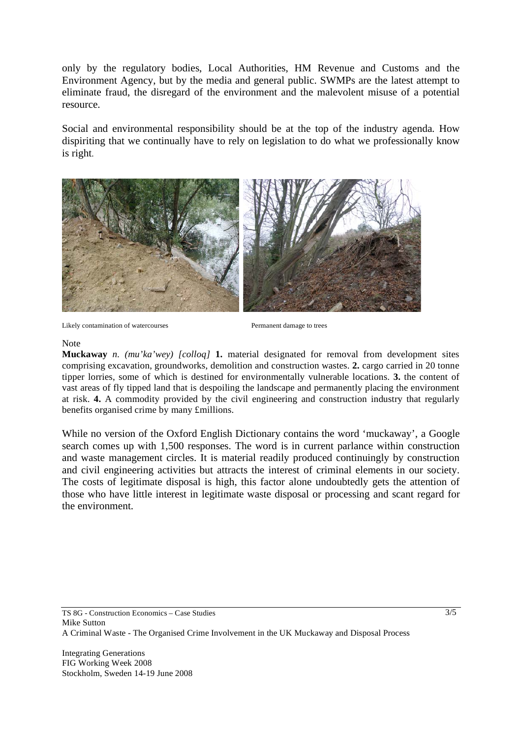only by the regulatory bodies, Local Authorities, HM Revenue and Customs and the Environment Agency, but by the media and general public. SWMPs are the latest attempt to eliminate fraud, the disregard of the environment and the malevolent misuse of a potential resource.

Social and environmental responsibility should be at the top of the industry agenda. How dispiriting that we continually have to rely on legislation to do what we professionally know is right.



Likely contamination of watercourses Permanent damage to trees

#### Note

**Muckaway** *n. (mu'ka'wey) [colloq]* **1.** material designated for removal from development sites comprising excavation, groundworks, demolition and construction wastes. **2.** cargo carried in 20 tonne tipper lorries, some of which is destined for environmentally vulnerable locations. **3.** the content of vast areas of fly tipped land that is despoiling the landscape and permanently placing the environment at risk. **4.** A commodity provided by the civil engineering and construction industry that regularly benefits organised crime by many £millions.

While no version of the Oxford English Dictionary contains the word 'muckaway', a Google search comes up with 1,500 responses. The word is in current parlance within construction and waste management circles. It is material readily produced continuingly by construction and civil engineering activities but attracts the interest of criminal elements in our society. The costs of legitimate disposal is high, this factor alone undoubtedly gets the attention of those who have little interest in legitimate waste disposal or processing and scant regard for the environment.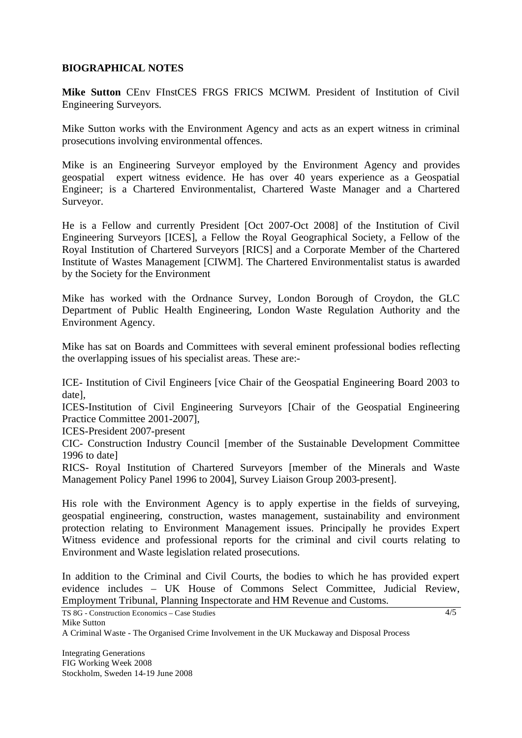## **BIOGRAPHICAL NOTES**

**Mike Sutton** CEnv FInstCES FRGS FRICS MCIWM. President of Institution of Civil Engineering Surveyors.

Mike Sutton works with the Environment Agency and acts as an expert witness in criminal prosecutions involving environmental offences.

Mike is an Engineering Surveyor employed by the Environment Agency and provides geospatial expert witness evidence. He has over 40 years experience as a Geospatial Engineer; is a Chartered Environmentalist, Chartered Waste Manager and a Chartered Surveyor.

He is a Fellow and currently President [Oct 2007-Oct 2008] of the Institution of Civil Engineering Surveyors [ICES], a Fellow the Royal Geographical Society, a Fellow of the Royal Institution of Chartered Surveyors [RICS] and a Corporate Member of the Chartered Institute of Wastes Management [CIWM]. The Chartered Environmentalist status is awarded by the Society for the Environment

Mike has worked with the Ordnance Survey, London Borough of Croydon, the GLC Department of Public Health Engineering, London Waste Regulation Authority and the Environment Agency.

Mike has sat on Boards and Committees with several eminent professional bodies reflecting the overlapping issues of his specialist areas. These are:-

ICE- Institution of Civil Engineers [vice Chair of the Geospatial Engineering Board 2003 to date],

ICES-Institution of Civil Engineering Surveyors [Chair of the Geospatial Engineering Practice Committee 2001-2007],

ICES-President 2007-present

CIC- Construction Industry Council [member of the Sustainable Development Committee 1996 to date]

RICS- Royal Institution of Chartered Surveyors [member of the Minerals and Waste Management Policy Panel 1996 to 2004], Survey Liaison Group 2003-present].

His role with the Environment Agency is to apply expertise in the fields of surveying, geospatial engineering, construction, wastes management, sustainability and environment protection relating to Environment Management issues. Principally he provides Expert Witness evidence and professional reports for the criminal and civil courts relating to Environment and Waste legislation related prosecutions.

In addition to the Criminal and Civil Courts, the bodies to which he has provided expert evidence includes – UK House of Commons Select Committee, Judicial Review, Employment Tribunal, Planning Inspectorate and HM Revenue and Customs.

A Criminal Waste - The Organised Crime Involvement in the UK Muckaway and Disposal Process